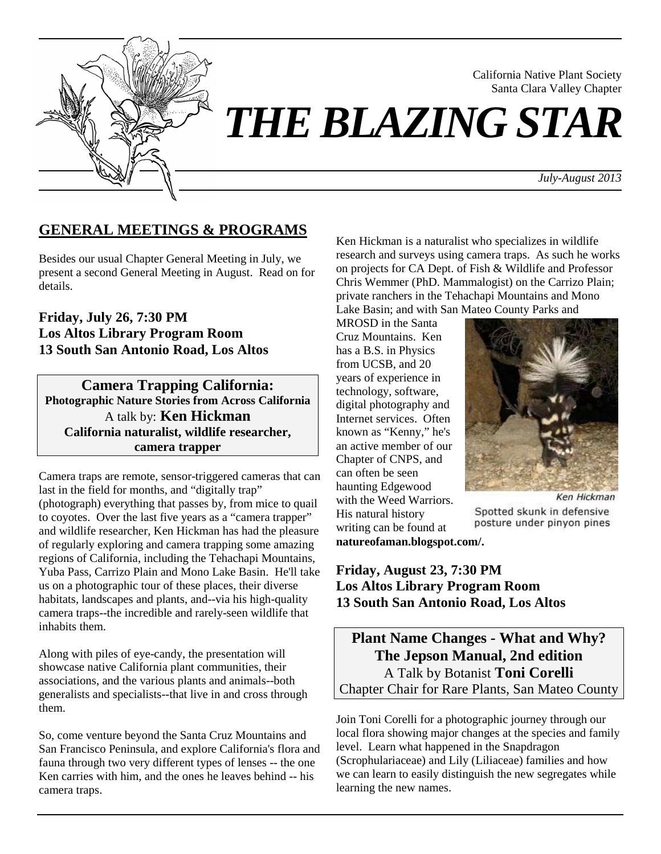

Santa Clara Valley Chapter *THE BLAZING STAR*

*July-August 2013*

California Native Plant Society

## **GENERAL MEETINGS & PROGRAMS**

Besides our usual Chapter General Meeting in July, we present a second General Meeting in August. Read on for details.

## **Friday, July 26, 7:30 PM Los Altos Library Program Room 13 South San Antonio Road, Los Altos**

**Camera Trapping California: Photographic Nature Stories from Across California** A talk by: **Ken Hickman California naturalist, wildlife researcher, camera trapper** 

Camera traps are remote, sensor-triggered cameras that can last in the field for months, and "digitally trap" (photograph) everything that passes by, from mice to quail to coyotes. Over the last five years as a "camera trapper" and wildlife researcher, Ken Hickman has had the pleasure of regularly exploring and camera trapping some amazing regions of California, including the Tehachapi Mountains, Yuba Pass, Carrizo Plain and Mono Lake Basin. He'll take us on a photographic tour of these places, their diverse habitats, landscapes and plants, and--via his high-quality camera traps--the incredible and rarely-seen wildlife that inhabits them.

Along with piles of eye-candy, the presentation will showcase native California plant communities, their associations, and the various plants and animals--both generalists and specialists--that live in and cross through them.

So, come venture beyond the Santa Cruz Mountains and San Francisco Peninsula, and explore California's flora and fauna through two very different types of lenses -- the one Ken carries with him, and the ones he leaves behind -- his camera traps.

Ken Hickman is a naturalist who specializes in wildlife research and surveys using camera traps. As such he works on projects for CA Dept. of Fish & Wildlife and Professor Chris Wemmer (PhD. Mammalogist) on the Carrizo Plain; private ranchers in the Tehachapi Mountains and Mono Lake Basin; and with San Mateo County Parks and

MROSD in the Santa Cruz Mountains. Ken has a B.S. in Physics from UCSB, and 20 years of experience in technology, software, digital photography and Internet services. Often known as "Kenny," he's an active member of our Chapter of CNPS, and can often be seen haunting Edgewood with the Weed Warriors. His natural history writing can be found at



Ken Hickman

Spotted skunk in defensive posture under pinyon pines

**natureofaman.blogspot.com/.**

## **Friday, August 23, 7:30 PM Los Altos Library Program Room 13 South San Antonio Road, Los Altos**

**Plant Name Changes - What and Why? The Jepson Manual, 2nd edition**  A Talk by Botanist **Toni Corelli**  Chapter Chair for Rare Plants, San Mateo County

Join Toni Corelli for a photographic journey through our local flora showing major changes at the species and family level. Learn what happened in the Snapdragon (Scrophulariaceae) and Lily (Liliaceae) families and how we can learn to easily distinguish the new segregates while learning the new names.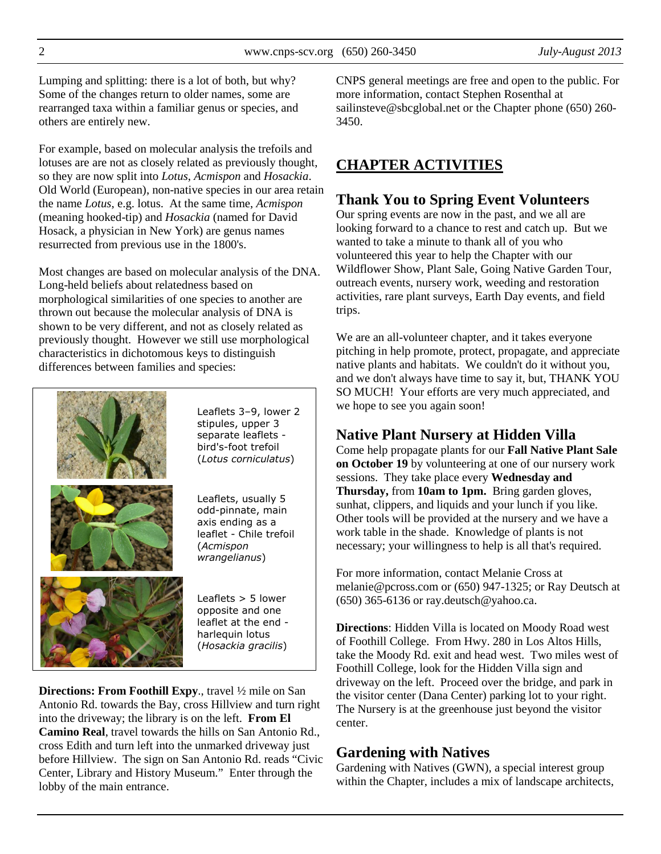Lumping and splitting: there is a lot of both, but why? Some of the changes return to older names, some are rearranged taxa within a familiar genus or species, and others are entirely new.

For example, based on molecular analysis the trefoils and lotuses are are not as closely related as previously thought, so they are now split into *Lotus*, *Acmispon* and *Hosackia*. Old World (European), non-native species in our area retain the name *Lotus*, e.g. lotus. At the same time, *Acmispon* (meaning hooked-tip) and *Hosackia* (named for David Hosack, a physician in New York) are genus names resurrected from previous use in the 1800's.

Most changes are based on molecular analysis of the DNA. Long-held beliefs about relatedness based on morphological similarities of one species to another are thrown out because the molecular analysis of DNA is shown to be very different, and not as closely related as previously thought. However we still use morphological characteristics in dichotomous keys to distinguish differences between families and species:



Leaflets 3–9, lower 2 stipules, upper 3 separate leaflets bird's-foot trefoil (*Lotus corniculatus*)

Leaflets, usually 5 odd-pinnate, main axis ending as a leaflet - Chile trefoil (*Acmispon wrangelianus*)

Leaflets > 5 lower opposite and one leaflet at the end harlequin lotus (*Hosackia gracilis*)

**Directions: From Foothill Expy**., travel ½ mile on San Antonio Rd. towards the Bay, cross Hillview and turn right into the driveway; the library is on the left. **From El Camino Real**, travel towards the hills on San Antonio Rd., cross Edith and turn left into the unmarked driveway just before Hillview. The sign on San Antonio Rd. reads "Civic Center, Library and History Museum." Enter through the lobby of the main entrance.

CNPS general meetings are free and open to the public. For more information, contact Stephen Rosenthal at sailinsteve@sbcglobal.net or the Chapter phone (650) 260- 3450.

# **CHAPTER ACTIVITIES**

## **Thank You to Spring Event Volunteers**

Our spring events are now in the past, and we all are looking forward to a chance to rest and catch up. But we wanted to take a minute to thank all of you who volunteered this year to help the Chapter with our Wildflower Show, Plant Sale, Going Native Garden Tour, outreach events, nursery work, weeding and restoration activities, rare plant surveys, Earth Day events, and field trips.

We are an all-volunteer chapter, and it takes everyone pitching in help promote, protect, propagate, and appreciate native plants and habitats. We couldn't do it without you, and we don't always have time to say it, but, THANK YOU SO MUCH! Your efforts are very much appreciated, and we hope to see you again soon!

# **Native Plant Nursery at Hidden Villa**

Come help propagate plants for our **Fall Native Plant Sale on October 19** by volunteering at one of our nursery work sessions. They take place every **Wednesday and Thursday,** from **10am to 1pm.** Bring garden gloves, sunhat, clippers, and liquids and your lunch if you like. Other tools will be provided at the nursery and we have a work table in the shade. Knowledge of plants is not necessary; your willingness to help is all that's required.

For more information, contact Melanie Cross at melanie@pcross.com or (650) 947-1325; or Ray Deutsch at (650) 365-6136 or ray.deutsch@yahoo.ca.

**Directions**: Hidden Villa is located on Moody Road west of Foothill College. From Hwy. 280 in Los Altos Hills, take the Moody Rd. exit and head west. Two miles west of Foothill College, look for the Hidden Villa sign and driveway on the left. Proceed over the bridge, and park in the visitor center (Dana Center) parking lot to your right. The Nursery is at the greenhouse just beyond the visitor center.

## **Gardening with Natives**

Gardening with Natives (GWN), a special interest group within the Chapter, includes a mix of landscape architects,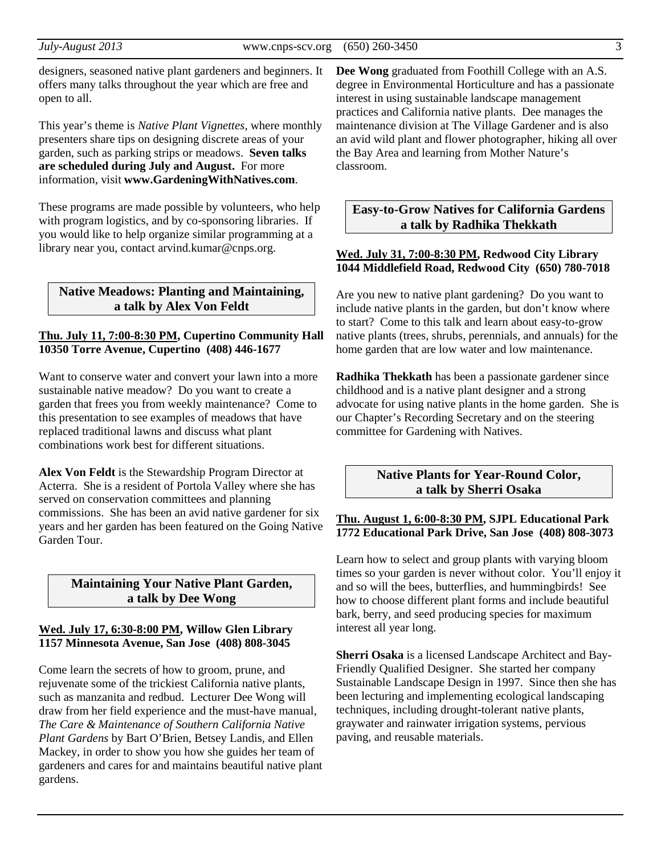designers, seasoned native plant gardeners and beginners. It offers many talks throughout the year which are free and open to all.

This year's theme is *Native Plant Vignettes*, where monthly presenters share tips on designing discrete areas of your garden, such as parking strips or meadows. **Seven talks are scheduled during July and August.** For more information, visit **www.GardeningWithNatives.com**.

These programs are made possible by volunteers, who help with program logistics, and by co-sponsoring libraries. If you would like to help organize similar programming at a library near you, contact arvind.kumar@cnps.org.

#### **Native Meadows: Planting and Maintaining, a talk by Alex Von Feldt**

#### **Thu. July 11, 7:00-8:30 PM, Cupertino Community Hall 10350 Torre Avenue, Cupertino (408) 446-1677**

Want to conserve water and convert your lawn into a more sustainable native meadow? Do you want to create a garden that frees you from weekly maintenance? Come to this presentation to see examples of meadows that have replaced traditional lawns and discuss what plant combinations work best for different situations.

**Alex Von Feldt** is the Stewardship Program Director at Acterra. She is a resident of Portola Valley where she has served on conservation committees and planning commissions. She has been an avid native gardener for six years and her garden has been featured on the Going Native Garden Tour.

#### **Maintaining Your Native Plant Garden, a talk by Dee Wong**

#### **Wed. July 17, 6:30-8:00 PM, Willow Glen Library 1157 Minnesota Avenue, San Jose (408) 808-3045**

Come learn the secrets of how to groom, prune, and rejuvenate some of the trickiest California native plants, such as manzanita and redbud. Lecturer Dee Wong will draw from her field experience and the must-have manual, *The Care & Maintenance of Southern California Native Plant Gardens* by Bart O'Brien, Betsey Landis, and Ellen Mackey, in order to show you how she guides her team of gardeners and cares for and maintains beautiful native plant gardens.

**Dee Wong** graduated from Foothill College with an A.S. degree in Environmental Horticulture and has a passionate interest in using sustainable landscape management practices and California native plants. Dee manages the maintenance division at The Village Gardener and is also an avid wild plant and flower photographer, hiking all over the Bay Area and learning from Mother Nature's classroom.

#### **Easy-to-Grow Natives for California Gardens a talk by Radhika Thekkath**

#### **Wed. July 31, 7:00-8:30 PM, Redwood City Library 1044 Middlefield Road, Redwood City (650) 780-7018**

Are you new to native plant gardening? Do you want to include native plants in the garden, but don't know where to start? Come to this talk and learn about easy-to-grow native plants (trees, shrubs, perennials, and annuals) for the home garden that are low water and low maintenance.

**Radhika Thekkath** has been a passionate gardener since childhood and is a native plant designer and a strong advocate for using native plants in the home garden. She is our Chapter's Recording Secretary and on the steering committee for Gardening with Natives.

#### **Native Plants for Year-Round Color, a talk by Sherri Osaka**

#### **Thu. August 1, 6:00-8:30 PM, SJPL Educational Park 1772 Educational Park Drive, San Jose (408) 808-3073**

Learn how to select and group plants with varying bloom times so your garden is never without color. You'll enjoy it and so will the bees, butterflies, and hummingbirds! See how to choose different plant forms and include beautiful bark, berry, and seed producing species for maximum interest all year long.

**Sherri Osaka** is a licensed Landscape Architect and Bay-Friendly Qualified Designer. She started her company Sustainable Landscape Design in 1997. Since then she has been lecturing and implementing ecological landscaping techniques, including drought-tolerant native plants, graywater and rainwater irrigation systems, pervious paving, and reusable materials.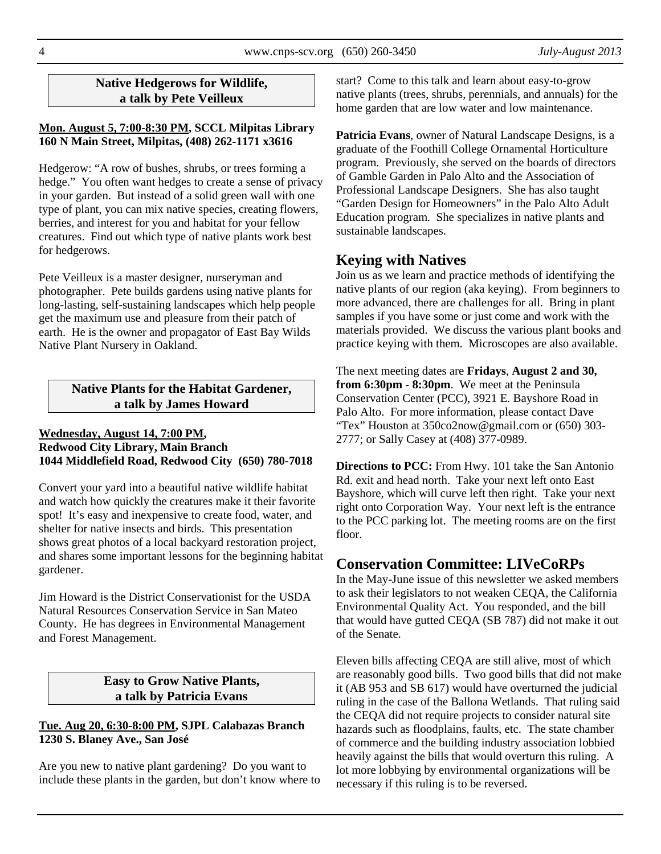### **Native Hedgerows for Wildlife, a talk by Pete Veilleux**

#### **Mon. August 5, 7:00-8:30 PM, SCCL Milpitas Library 160 N Main Street, Milpitas, (408) 262-1171 x3616**

Hedgerow: "A row of bushes, shrubs, or trees forming a hedge." You often want hedges to create a sense of privacy in your garden. But instead of a solid green wall with one type of plant, you can mix native species, creating flowers, berries, and interest for you and habitat for your fellow creatures. Find out which type of native plants work best for hedgerows.

Pete Veilleux is a master designer, nurseryman and photographer. Pete builds gardens using native plants for long-lasting, self-sustaining landscapes which help people get the maximum use and pleasure from their patch of earth. He is the owner and propagator of East Bay Wilds Native Plant Nursery in Oakland.

#### **Native Plants for the Habitat Gardener, a talk by James Howard**

#### **Wednesday, August 14, 7:00 PM, Redwood City Library, Main Branch 1044 Middlefield Road, Redwood City (650) 780-7018**

Convert your yard into a beautiful native wildlife habitat and watch how quickly the creatures make it their favorite spot! It's easy and inexpensive to create food, water, and shelter for native insects and birds. This presentation shows great photos of a local backyard restoration project, and shares some important lessons for the beginning habitat gardener.

Jim Howard is the District Conservationist for the USDA Natural Resources Conservation Service in San Mateo County. He has degrees in Environmental Management and Forest Management.

#### **Easy to Grow Native Plants, a talk by Patricia Evans**

#### **Tue. Aug 20, 6:30-8:00 PM, SJPL Calabazas Branch 1230 S. Blaney Ave., San José**

Are you new to native plant gardening? Do you want to include these plants in the garden, but don't know where to

start? Come to this talk and learn about easy-to-grow native plants (trees, shrubs, perennials, and annuals) for the home garden that are low water and low maintenance.

**Patricia Evans**, owner of Natural Landscape Designs, is a graduate of the Foothill College Ornamental Horticulture program. Previously, she served on the boards of directors of Gamble Garden in Palo Alto and the Association of Professional Landscape Designers. She has also taught "Garden Design for Homeowners" in the Palo Alto Adult Education program. She specializes in native plants and sustainable landscapes.

# **Keying with Natives**

Join us as we learn and practice methods of identifying the native plants of our region (aka keying). From beginners to more advanced, there are challenges for all. Bring in plant samples if you have some or just come and work with the materials provided. We discuss the various plant books and practice keying with them. Microscopes are also available.

The next meeting dates are **Fridays**, **August 2 and 30, from 6:30pm - 8:30pm**. We meet at the Peninsula Conservation Center (PCC), 3921 E. Bayshore Road in Palo Alto. For more information, please contact Dave "Tex" Houston at 350co2now@gmail.com or (650) 303- 2777; or Sally Casey at (408) 377-0989.

**Directions to PCC:** From Hwy. 101 take the San Antonio Rd. exit and head north. Take your next left onto East Bayshore, which will curve left then right. Take your next right onto Corporation Way. Your next left is the entrance to the PCC parking lot. The meeting rooms are on the first floor.

# **Conservation Committee: LIVeCoRPs**

In the May-June issue of this newsletter we asked members to ask their legislators to not weaken CEQA, the California Environmental Quality Act. You responded, and the bill that would have gutted CEQA (SB 787) did not make it out of the Senate.

Eleven bills affecting CEQA are still alive, most of which are reasonably good bills. Two good bills that did not make it (AB 953 and SB 617) would have overturned the judicial ruling in the case of the Ballona Wetlands. That ruling said the CEQA did not require projects to consider natural site hazards such as floodplains, faults, etc. The state chamber of commerce and the building industry association lobbied heavily against the bills that would overturn this ruling. A lot more lobbying by environmental organizations will be necessary if this ruling is to be reversed.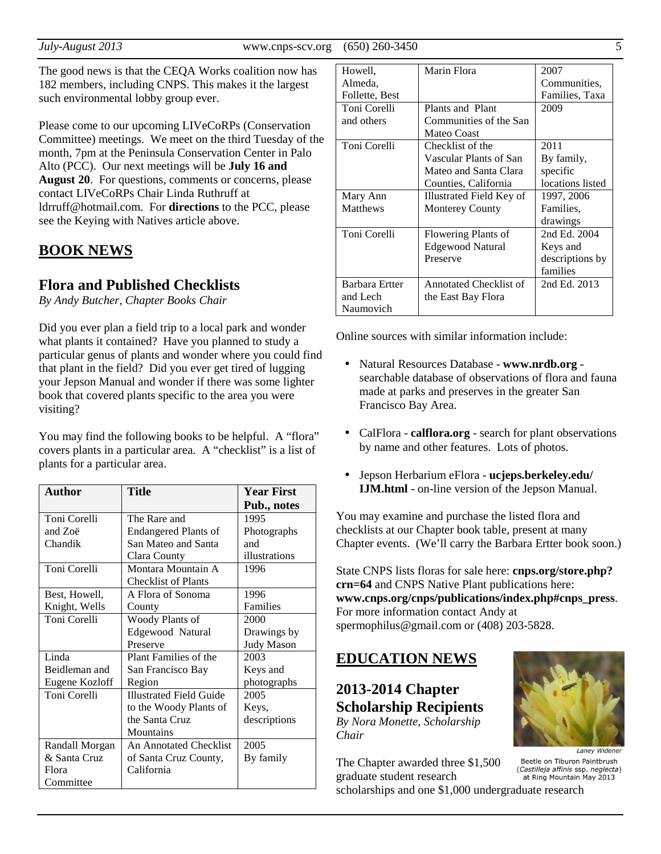The good news is that the CEQA Works coalition now has 182 members, including CNPS. This makes it the largest such environmental lobby group ever.

Please come to our upcoming LIVeCoRPs (Conservation Committee) meetings. We meet on the third Tuesday of the month, 7pm at the Peninsula Conservation Center in Palo Alto (PCC). Our next meetings will be **July 16 and August 20**. For questions, comments or concerns, please contact LIVeCoRPs Chair Linda Ruthruff at ldrruff@hotmail.com. For **directions** to the PCC, please see the Keying with Natives article above.

## **BOOK NEWS**

### **Flora and Published Checklists**

*By Andy Butcher, Chapter Books Chair* 

Did you ever plan a field trip to a local park and wonder what plants it contained? Have you planned to study a particular genus of plants and wonder where you could find that plant in the field? Did you ever get tired of lugging your Jepson Manual and wonder if there was some lighter book that covered plants specific to the area you were visiting?

You may find the following books to be helpful. A "flora" covers plants in a particular area. A "checklist" is a list of plants for a particular area.

| Author         | Title                          | <b>Year First</b> |
|----------------|--------------------------------|-------------------|
|                |                                | Pub., notes       |
| Toni Corelli   | The Rare and                   | 1995              |
| and Zoë        | <b>Endangered Plants of</b>    | Photographs       |
| Chandik        | San Mateo and Santa            | and               |
|                | Clara County                   | illustrations     |
| Toni Corelli   | Montara Mountain A             | 1996              |
|                | <b>Checklist of Plants</b>     |                   |
| Best, Howell,  | A Flora of Sonoma              | 1996              |
| Knight, Wells  | County                         | Families          |
| Toni Corelli   | Woody Plants of                | 2000              |
|                | Edgewood Natural               | Drawings by       |
|                | Preserve                       | <b>Judy Mason</b> |
| Linda          | Plant Families of the          | 2003              |
| Beidleman and  | San Francisco Bay              | Keys and          |
| Eugene Kozloff | Region                         | photographs       |
| Toni Corelli   | <b>Illustrated Field Guide</b> | 2005              |
|                | to the Woody Plants of         | Keys,             |
|                | the Santa Cruz                 | descriptions      |
|                | Mountains                      |                   |
| Randall Morgan | An Annotated Checklist         | 2005              |
| & Santa Cruz   | of Santa Cruz County,          | By family         |
| Flora          | California                     |                   |
| Committee      |                                |                   |

| Howell,         | Marin Flora              | 2007             |
|-----------------|--------------------------|------------------|
| Almeda,         |                          | Communities,     |
| Follette, Best  |                          | Families, Taxa   |
| Toni Corelli    | Plants and Plant         | 2009             |
| and others      | Communities of the San   |                  |
|                 | <b>Mateo Coast</b>       |                  |
| Toni Corelli    | Checklist of the         | 2011             |
|                 | Vascular Plants of San   | By family,       |
|                 | Mateo and Santa Clara    | specific         |
|                 | Counties, California     | locations listed |
| Mary Ann        | Illustrated Field Key of | 1997, 2006       |
| <b>Matthews</b> | <b>Monterey County</b>   | Families.        |
|                 |                          | drawings         |
| Toni Corelli    | Flowering Plants of      | 2nd Ed. 2004     |
|                 | Edgewood Natural         | Keys and         |
|                 | Preserve                 | descriptions by  |
|                 |                          | families         |
| Barbara Ertter  | Annotated Checklist of   | 2nd Ed. 2013     |
| and Lech        | the East Bay Flora       |                  |
| Naumovich       |                          |                  |

Online sources with similar information include:

- Natural Resources Database **www.nrdb.org** searchable database of observations of flora and fauna made at parks and preserves in the greater San Francisco Bay Area.
- CalFlora **calflora.org** search for plant observations by name and other features. Lots of photos.
- Jepson Herbarium eFlora **ucjeps.berkeley.edu/ IJM.html** - on-line version of the Jepson Manual.

You may examine and purchase the listed flora and checklists at our Chapter book table, present at many Chapter events. (We'll carry the Barbara Ertter book soon.)

State CNPS lists floras for sale here: **cnps.org/store.php? crn=64** and CNPS Native Plant publications here: **www.cnps.org/cnps/publications/index.php#cnps\_press**. For more information contact Andy at spermophilus@gmail.com or (408) 203-5828.

## **EDUCATION NEWS**

**2013-2014 Chapter Scholarship Recipients**  *By Nora Monette, Scholarship Chair* 

The Chapter awarded three \$1,500 graduate student research



Lanev Widener Beetle on Tiburon Paintbrush (Castilleja affinis ssp. neglecta) at Ring Mountain May 2013

scholarships and one \$1,000 undergraduate research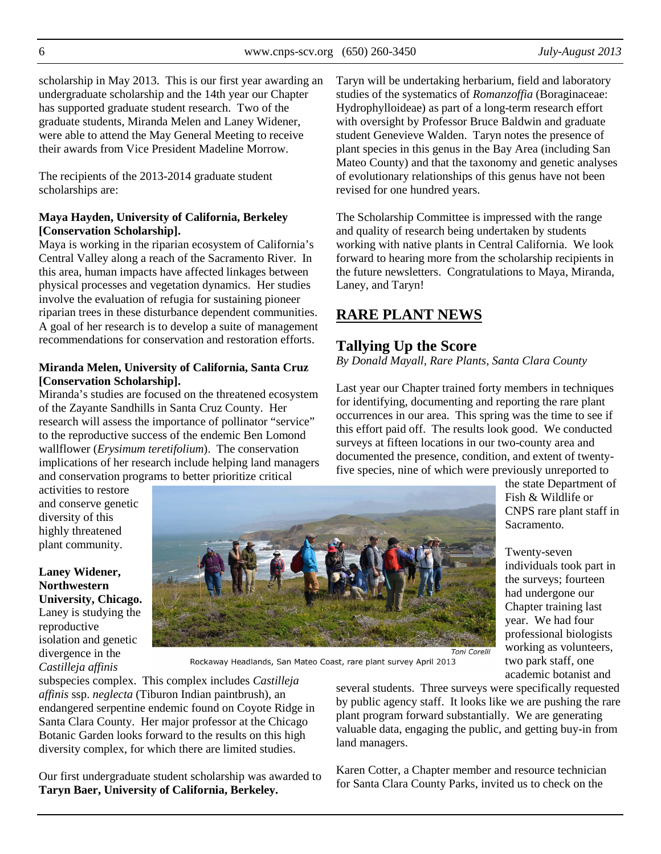scholarship in May 2013. This is our first year awarding an undergraduate scholarship and the 14th year our Chapter has supported graduate student research. Two of the graduate students, Miranda Melen and Laney Widener, were able to attend the May General Meeting to receive their awards from Vice President Madeline Morrow.

The recipients of the 2013-2014 graduate student scholarships are:

#### **Maya Hayden, University of California, Berkeley [Conservation Scholarship].**

Maya is working in the riparian ecosystem of California's Central Valley along a reach of the Sacramento River. In this area, human impacts have affected linkages between physical processes and vegetation dynamics. Her studies involve the evaluation of refugia for sustaining pioneer riparian trees in these disturbance dependent communities. A goal of her research is to develop a suite of management recommendations for conservation and restoration efforts.

#### **Miranda Melen, University of California, Santa Cruz [Conservation Scholarship].**

Miranda's studies are focused on the threatened ecosystem of the Zayante Sandhills in Santa Cruz County. Her research will assess the importance of pollinator "service" to the reproductive success of the endemic Ben Lomond wallflower (*Erysimum teretifolium*). The conservation implications of her research include helping land managers and conservation programs to better prioritize critical

Taryn will be undertaking herbarium, field and laboratory studies of the systematics of *Romanzoffia* (Boraginaceae: Hydrophylloideae) as part of a long-term research effort with oversight by Professor Bruce Baldwin and graduate student Genevieve Walden. Taryn notes the presence of plant species in this genus in the Bay Area (including San Mateo County) and that the taxonomy and genetic analyses of evolutionary relationships of this genus have not been revised for one hundred years.

The Scholarship Committee is impressed with the range and quality of research being undertaken by students working with native plants in Central California. We look forward to hearing more from the scholarship recipients in the future newsletters. Congratulations to Maya, Miranda, Laney, and Taryn!

## **RARE PLANT NEWS**

## **Tallying Up the Score**

*By Donald Mayall, Rare Plants, Santa Clara County* 

Last year our Chapter trained forty members in techniques for identifying, documenting and reporting the rare plant occurrences in our area. This spring was the time to see if this effort paid off. The results look good. We conducted surveys at fifteen locations in our two-county area and documented the presence, condition, and extent of twentyfive species, nine of which were previously unreported to

> the state Department of Fish & Wildlife or CNPS rare plant staff in

individuals took part in the surveys; fourteen had undergone our Chapter training last year. We had four professional biologists working as volunteers, two park staff, one academic botanist and

Sacramento.

Twenty-seven

activities to restore and conserve genetic diversity of this highly threatened plant community.

**Laney Widener, Northwestern University, Chicago.** Laney is studying the reproductive isolation and genetic divergence in the *Castilleja affinis*



Toni Corelli

Rockaway Headlands, San Mateo Coast, rare plant survey April 2013

subspecies complex. This complex includes *Castilleja affinis* ssp. *neglecta* (Tiburon Indian paintbrush), an endangered serpentine endemic found on Coyote Ridge in Santa Clara County. Her major professor at the Chicago Botanic Garden looks forward to the results on this high diversity complex, for which there are limited studies.

Our first undergraduate student scholarship was awarded to **Taryn Baer, University of California, Berkeley.**

several students. Three surveys were specifically requested by public agency staff. It looks like we are pushing the rare plant program forward substantially. We are generating valuable data, engaging the public, and getting buy-in from land managers.

Karen Cotter, a Chapter member and resource technician for Santa Clara County Parks, invited us to check on the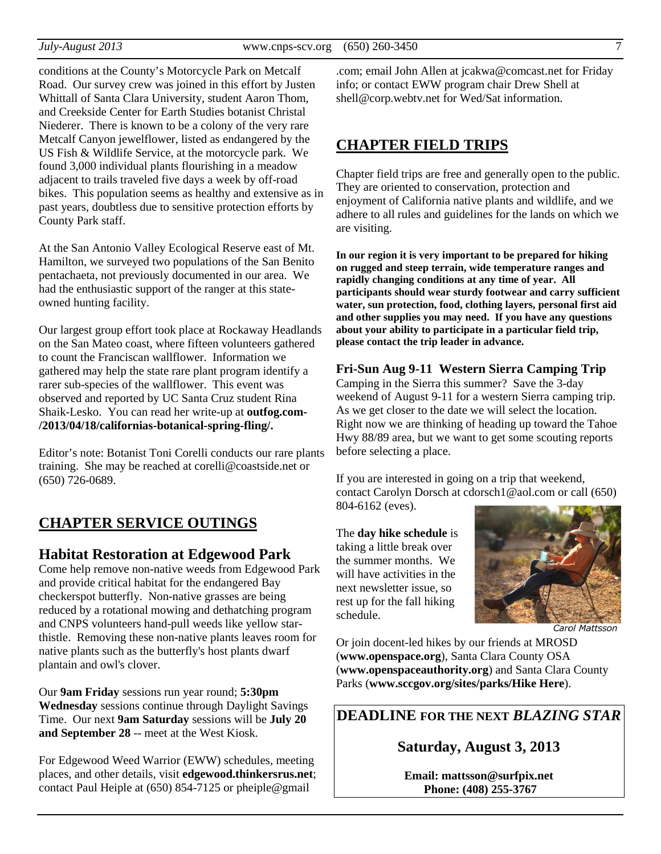conditions at the County's Motorcycle Park on Metcalf Road. Our survey crew was joined in this effort by Justen Whittall of Santa Clara University, student Aaron Thom, and Creekside Center for Earth Studies botanist Christal Niederer. There is known to be a colony of the very rare Metcalf Canyon jewelflower, listed as endangered by the US Fish & Wildlife Service, at the motorcycle park. We found 3,000 individual plants flourishing in a meadow adjacent to trails traveled five days a week by off-road bikes. This population seems as healthy and extensive as in past years, doubtless due to sensitive protection efforts by County Park staff.

At the San Antonio Valley Ecological Reserve east of Mt. Hamilton, we surveyed two populations of the San Benito pentachaeta, not previously documented in our area. We had the enthusiastic support of the ranger at this stateowned hunting facility.

Our largest group effort took place at Rockaway Headlands on the San Mateo coast, where fifteen volunteers gathered to count the Franciscan wallflower. Information we gathered may help the state rare plant program identify a rarer sub-species of the wallflower. This event was observed and reported by UC Santa Cruz student Rina Shaik-Lesko. You can read her write-up at **outfog.com- /2013/04/18/californias-botanical-spring-fling/.** 

Editor's note: Botanist Toni Corelli conducts our rare plants training. She may be reached at corelli@coastside.net or (650) 726-0689.

# **CHAPTER SERVICE OUTINGS**

## **Habitat Restoration at Edgewood Park**

Come help remove non-native weeds from Edgewood Park and provide critical habitat for the endangered Bay checkerspot butterfly. Non-native grasses are being reduced by a rotational mowing and dethatching program and CNPS volunteers hand-pull weeds like yellow starthistle. Removing these non-native plants leaves room for native plants such as the butterfly's host plants dwarf plantain and owl's clover.

Our **9am Friday** sessions run year round; **5:30pm Wednesday** sessions continue through Daylight Savings Time. Our next **9am Saturday** sessions will be **July 20 and September 28** -- meet at the West Kiosk.

For Edgewood Weed Warrior (EWW) schedules, meeting places, and other details, visit **edgewood.thinkersrus.net**; contact Paul Heiple at (650) 854-7125 or pheiple@gmail

.com; email John Allen at jcakwa@comcast.net for Friday info; or contact EWW program chair Drew Shell at shell@corp.webtv.net for Wed/Sat information.

## **CHAPTER FIELD TRIPS**

Chapter field trips are free and generally open to the public. They are oriented to conservation, protection and enjoyment of California native plants and wildlife, and we adhere to all rules and guidelines for the lands on which we are visiting.

**In our region it is very important to be prepared for hiking on rugged and steep terrain, wide temperature ranges and rapidly changing conditions at any time of year. All participants should wear sturdy footwear and carry sufficient water, sun protection, food, clothing layers, personal first aid and other supplies you may need. If you have any questions about your ability to participate in a particular field trip, please contact the trip leader in advance.** 

**Fri-Sun Aug 9-11 Western Sierra Camping Trip**  Camping in the Sierra this summer? Save the 3-day weekend of August 9-11 for a western Sierra camping trip. As we get closer to the date we will select the location. Right now we are thinking of heading up toward the Tahoe Hwy 88/89 area, but we want to get some scouting reports before selecting a place.

If you are interested in going on a trip that weekend, contact Carolyn Dorsch at cdorsch1@aol.com or call (650) 804-6162 (eves).

The **day hike schedule** is taking a little break over the summer months. We will have activities in the next newsletter issue, so rest up for the fall hiking schedule.



Carol Mattsson

Or join docent-led hikes by our friends at MROSD (**www.openspace.org**), Santa Clara County OSA (**www.openspaceauthority.org**) and Santa Clara County Parks (**www.sccgov.org/sites/parks/Hike Here**).

**DEADLINE FOR THE NEXT** *BLAZING STAR* 

**Saturday, August 3, 2013** 

**Email: mattsson@surfpix.net Phone: (408) 255-3767**